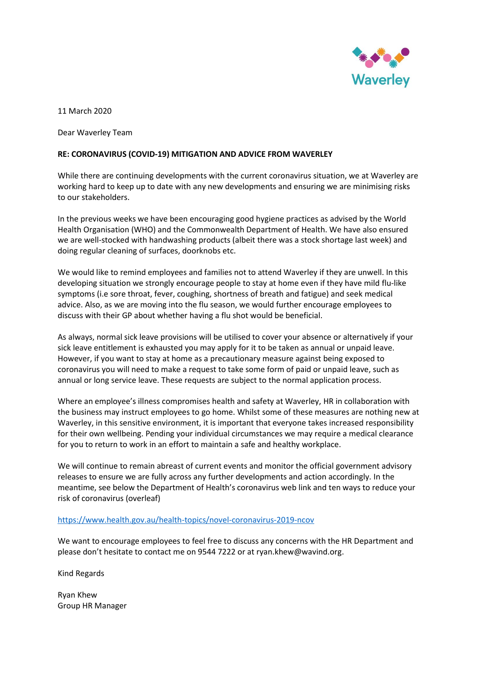

11 March 2020

Dear Waverley Team

### **RE: CORONAVIRUS (COVID-19) MITIGATION AND ADVICE FROM WAVERLEY**

While there are continuing developments with the current coronavirus situation, we at Waverley are working hard to keep up to date with any new developments and ensuring we are minimising risks to our stakeholders.

In the previous weeks we have been encouraging good hygiene practices as advised by the World Health Organisation (WHO) and the Commonwealth Department of Health. We have also ensured we are well-stocked with handwashing products (albeit there was a stock shortage last week) and doing regular cleaning of surfaces, doorknobs etc.

We would like to remind employees and families not to attend Waverley if they are unwell. In this developing situation we strongly encourage people to stay at home even if they have mild flu-like symptoms (i.e sore throat, fever, coughing, shortness of breath and fatigue) and seek medical advice. Also, as we are moving into the flu season, we would further encourage employees to discuss with their GP about whether having a flu shot would be beneficial.

As always, normal sick leave provisions will be utilised to cover your absence or alternatively if your sick leave entitlement is exhausted you may apply for it to be taken as annual or unpaid leave. However, if you want to stay at home as a precautionary measure against being exposed to coronavirus you will need to make a request to take some form of paid or unpaid leave, such as annual or long service leave. These requests are subject to the normal application process.

Where an employee's illness compromises health and safety at Waverley, HR in collaboration with the business may instruct employees to go home. Whilst some of these measures are nothing new at Waverley, in this sensitive environment, it is important that everyone takes increased responsibility for their own wellbeing. Pending your individual circumstances we may require a medical clearance for you to return to work in an effort to maintain a safe and healthy workplace.

We will continue to remain abreast of current events and monitor the official government advisory releases to ensure we are fully across any further developments and action accordingly. In the meantime, see below the Department of Health's coronavirus web link and ten ways to reduce your risk of coronavirus (overleaf)

### <https://www.health.gov.au/health-topics/novel-coronavirus-2019-ncov>

We want to encourage employees to feel free to discuss any concerns with the HR Department and please don't hesitate to contact me on 9544 7222 or at ryan.khew@wavind.org.

Kind Regards

Ryan Khew Group HR Manager